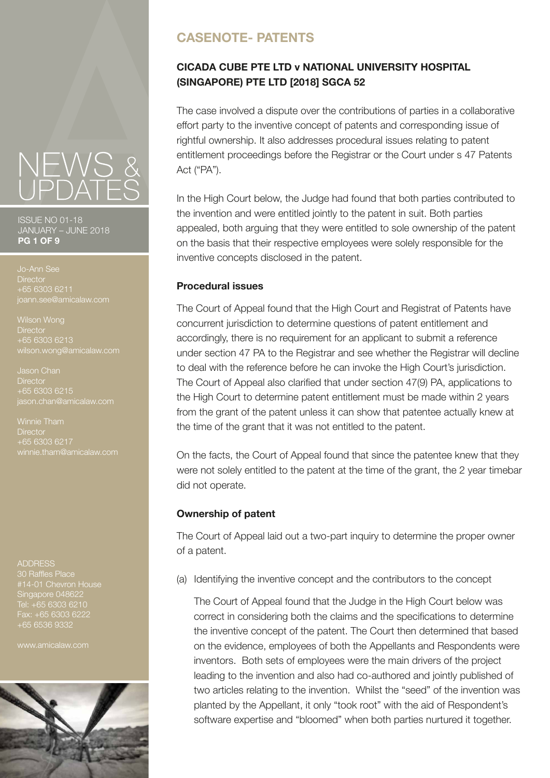ISSUE NO 01-18 JANUARY – JUNE 2018 **PG 1 OF 9**

**Director** +65 6303 6211

**Director**  $+65$  6303 6213 wilson.wong@amicalaw.com

Jason Chan **Director** +65 6303 6215 jason.chan@amicalaw.com

**Director** 

ADDRESS

30 Raffles Place Singapore 048622 Tel: +65 6303 6210 Fax: +65 6303 6222 +65 6536 9332

www.amicalaw.com



# **CASENOTE- PATENTS**

# **CICADA CUBE PTE LTD v NATIONAL UNIVERSITY HOSPITAL (SINGAPORE) PTE LTD [2018] SGCA 52**

The case involved a dispute over the contributions of parties in a collaborative effort party to the inventive concept of patents and corresponding issue of rightful ownership. It also addresses procedural issues relating to patent entitlement proceedings before the Registrar or the Court under s 47 Patents Act ("PA").

In the High Court below, the Judge had found that both parties contributed to the invention and were entitled jointly to the patent in suit. Both parties appealed, both arguing that they were entitled to sole ownership of the patent on the basis that their respective employees were solely responsible for the inventive concepts disclosed in the patent.

## **Procedural issues**

The Court of Appeal found that the High Court and Registrat of Patents have concurrent jurisdiction to determine questions of patent entitlement and accordingly, there is no requirement for an applicant to submit a reference under section 47 PA to the Registrar and see whether the Registrar will decline to deal with the reference before he can invoke the High Court's jurisdiction. The Court of Appeal also clarified that under section 47(9) PA, applications to the High Court to determine patent entitlement must be made within 2 years from the grant of the patent unless it can show that patentee actually knew at the time of the grant that it was not entitled to the patent.

On the facts, the Court of Appeal found that since the patentee knew that they were not solely entitled to the patent at the time of the grant, the 2 year timebar did not operate.

## **Ownership of patent**

The Court of Appeal laid out a two-part inquiry to determine the proper owner of a patent.

(a) Identifying the inventive concept and the contributors to the concept

 The Court of Appeal found that the Judge in the High Court below was correct in considering both the claims and the specifications to determine the inventive concept of the patent. The Court then determined that based on the evidence, employees of both the Appellants and Respondents were inventors. Both sets of employees were the main drivers of the project leading to the invention and also had co-authored and jointly published of two articles relating to the invention. Whilst the "seed" of the invention was planted by the Appellant, it only "took root" with the aid of Respondent's software expertise and "bloomed" when both parties nurtured it together.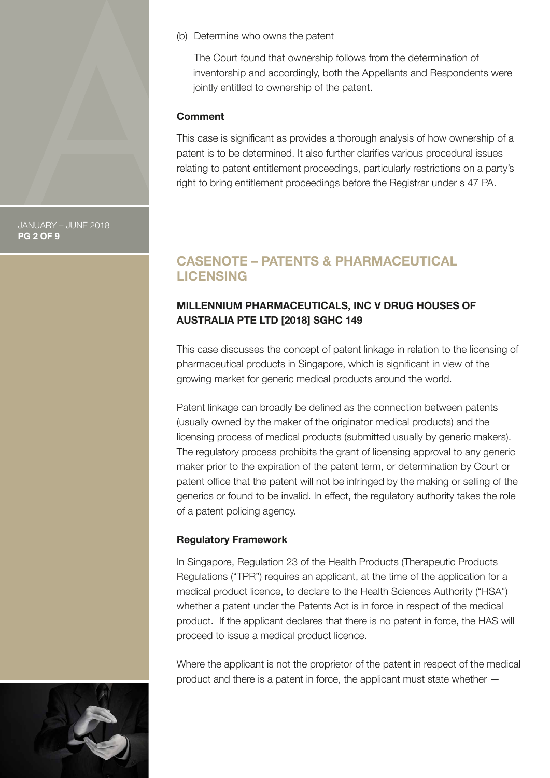(b) Determine who owns the patent

 The Court found that ownership follows from the determination of inventorship and accordingly, both the Appellants and Respondents were jointly entitled to ownership of the patent.

#### **Comment**

This case is significant as provides a thorough analysis of how ownership of a patent is to be determined. It also further clarifies various procedural issues relating to patent entitlement proceedings, particularly restrictions on a party's right to bring entitlement proceedings before the Registrar under s 47 PA.

# **CASENOTE – PATENTS & PHARMACEUTICAL LICENSING**

## **MILLENNIUM PHARMACEUTICALS, INC V DRUG HOUSES OF AUSTRALIA PTE LTD [2018] SGHC 149**

This case discusses the concept of patent linkage in relation to the licensing of pharmaceutical products in Singapore, which is significant in view of the growing market for generic medical products around the world.

Patent linkage can broadly be defined as the connection between patents (usually owned by the maker of the originator medical products) and the licensing process of medical products (submitted usually by generic makers). The regulatory process prohibits the grant of licensing approval to any generic maker prior to the expiration of the patent term, or determination by Court or patent office that the patent will not be infringed by the making or selling of the generics or found to be invalid. In effect, the regulatory authority takes the role of a patent policing agency.

## **Regulatory Framework**

In Singapore, Regulation 23 of the Health Products (Therapeutic Products Regulations ("TPR") requires an applicant, at the time of the application for a medical product licence, to declare to the Health Sciences Authority ("HSA") whether a patent under the Patents Act is in force in respect of the medical product. If the applicant declares that there is no patent in force, the HAS will proceed to issue a medical product licence.

Where the applicant is not the proprietor of the patent in respect of the medical product and there is a patent in force, the applicant must state whether —



JANUARY – JUNE 2018 **PG 2 OF 9**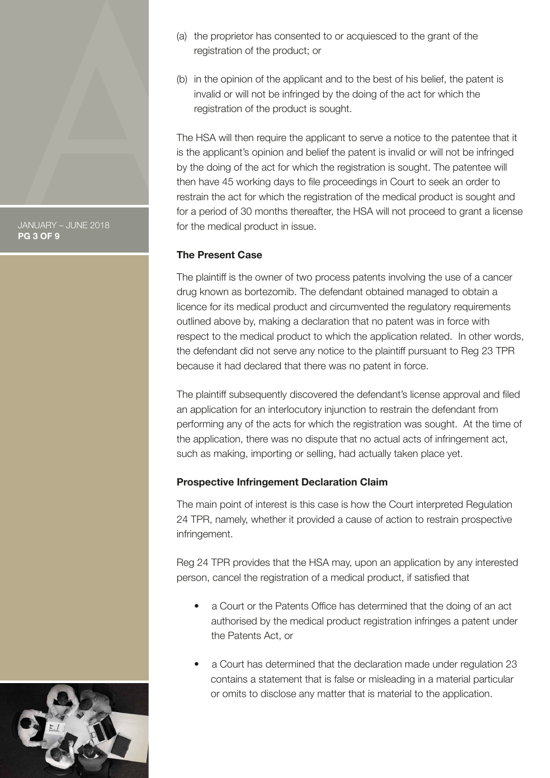JANUARY – JUNE 2018 **PG 3 OF 9**

- (a) the proprietor has consented to or acquiesced to the grant of the registration of the product; or
- (b) in the opinion of the applicant and to the best of his belief, the patent is invalid or will not be infringed by the doing of the act for which the registration of the product is sought.

The HSA will then require the applicant to serve a notice to the patentee that it is the applicant's opinion and belief the patent is invalid or will not be infringed by the doing of the act for which the registration is sought. The patentee will then have 45 working days to file proceedings in Court to seek an order to restrain the act for which the registration of the medical product is sought and for a period of 30 months thereafter, the HSA will not proceed to grant a license for the medical product in issue.

## **The Present Case**

The plaintiff is the owner of two process patents involving the use of a cancer drug known as bortezomib. The defendant obtained managed to obtain a licence for its medical product and circumvented the regulatory requirements outlined above by, making a declaration that no patent was in force with respect to the medical product to which the application related. In other words, the defendant did not serve any notice to the plaintiff pursuant to Reg 23 TPR because it had declared that there was no patent in force.

The plaintiff subsequently discovered the defendant's license approval and filed an application for an interlocutory injunction to restrain the defendant from performing any of the acts for which the registration was sought. At the time of the application, there was no dispute that no actual acts of infringement act, such as making, importing or selling, had actually taken place yet.

## **Prospective Infringement Declaration Claim**

The main point of interest is this case is how the Court interpreted Regulation 24 TPR, namely, whether it provided a cause of action to restrain prospective infringement.

Reg 24 TPR provides that the HSA may, upon an application by any interested person, cancel the registration of a medical product, if satisfied that

- a Court or the Patents Office has determined that the doing of an act authorised by the medical product registration infringes a patent under the Patents Act, or
- a Court has determined that the declaration made under regulation 23 contains a statement that is false or misleading in a material particular or omits to disclose any matter that is material to the application.

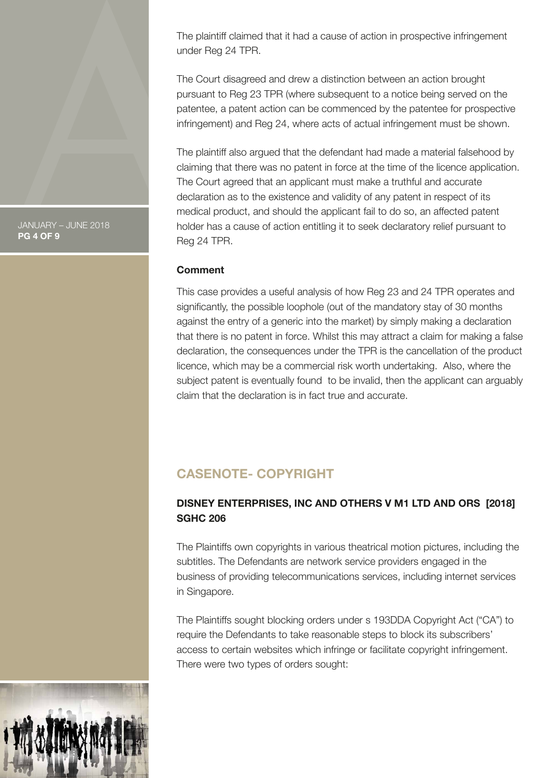The plaintiff claimed that it had a cause of action in prospective infringement under Reg 24 TPR.

The Court disagreed and drew a distinction between an action brought pursuant to Reg 23 TPR (where subsequent to a notice being served on the patentee, a patent action can be commenced by the patentee for prospective infringement) and Reg 24, where acts of actual infringement must be shown.

The plaintiff also argued that the defendant had made a material falsehood by claiming that there was no patent in force at the time of the licence application. The Court agreed that an applicant must make a truthful and accurate declaration as to the existence and validity of any patent in respect of its medical product, and should the applicant fail to do so, an affected patent holder has a cause of action entitling it to seek declaratory relief pursuant to Reg 24 TPR.

#### **Comment**

This case provides a useful analysis of how Reg 23 and 24 TPR operates and significantly, the possible loophole (out of the mandatory stay of 30 months against the entry of a generic into the market) by simply making a declaration that there is no patent in force. Whilst this may attract a claim for making a false declaration, the consequences under the TPR is the cancellation of the product licence, which may be a commercial risk worth undertaking. Also, where the subject patent is eventually found to be invalid, then the applicant can arguably claim that the declaration is in fact true and accurate.

# **CASENOTE- COPYRIGHT**

## **DISNEY ENTERPRISES, INC AND OTHERS V M1 LTD AND ORS [2018] SGHC 206**

The Plaintiffs own copyrights in various theatrical motion pictures, including the subtitles. The Defendants are network service providers engaged in the business of providing telecommunications services, including internet services in Singapore.

The Plaintiffs sought blocking orders under s 193DDA Copyright Act ("CA") to require the Defendants to take reasonable steps to block its subscribers' access to certain websites which infringe or facilitate copyright infringement. There were two types of orders sought:



JANUARY – JUNE 2018 **PG 4 OF 9**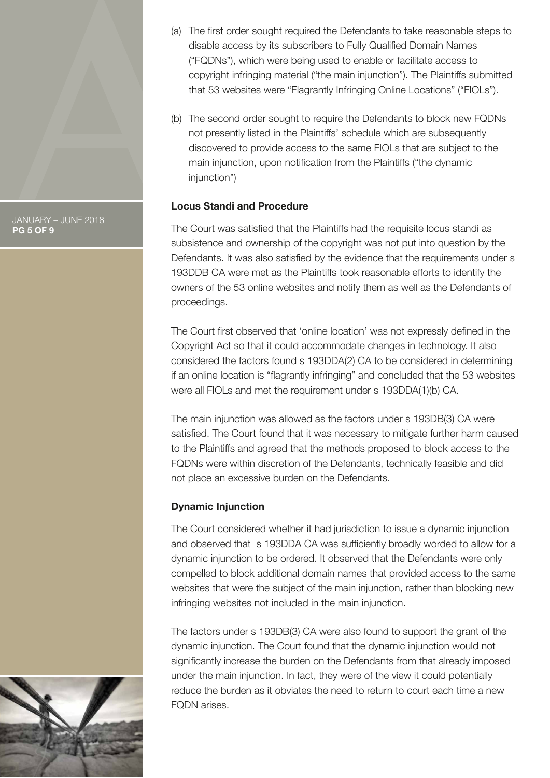

(a) The first order sought required the Defendants to take reasonable steps to disable access by its subscribers to Fully Qualified Domain Names ("FQDNs"), which were being used to enable or facilitate access to copyright infringing material ("the main injunction"). The Plaintiffs submitted that 53 websites were "Flagrantly Infringing Online Locations" ("FIOLs").

(b) The second order sought to require the Defendants to block new FQDNs not presently listed in the Plaintiffs' schedule which are subsequently discovered to provide access to the same FIOLs that are subject to the main injunction, upon notification from the Plaintiffs ("the dynamic injunction")

# **Locus Standi and Procedure**

The Court was satisfied that the Plaintiffs had the requisite locus standi as subsistence and ownership of the copyright was not put into question by the Defendants. It was also satisfied by the evidence that the requirements under s 193DDB CA were met as the Plaintiffs took reasonable efforts to identify the owners of the 53 online websites and notify them as well as the Defendants of proceedings.

The Court first observed that 'online location' was not expressly defined in the Copyright Act so that it could accommodate changes in technology. It also considered the factors found s 193DDA(2) CA to be considered in determining if an online location is "flagrantly infringing" and concluded that the 53 websites were all FIOLs and met the requirement under s 193DDA(1)(b) CA.

The main injunction was allowed as the factors under s 193DB(3) CA were satisfied. The Court found that it was necessary to mitigate further harm caused to the Plaintiffs and agreed that the methods proposed to block access to the FQDNs were within discretion of the Defendants, technically feasible and did not place an excessive burden on the Defendants.

# **Dynamic Injunction**

The Court considered whether it had jurisdiction to issue a dynamic injunction and observed that s 193DDA CA was sufficiently broadly worded to allow for a dynamic injunction to be ordered. It observed that the Defendants were only compelled to block additional domain names that provided access to the same websites that were the subject of the main injunction, rather than blocking new infringing websites not included in the main injunction.

The factors under s 193DB(3) CA were also found to support the grant of the dynamic injunction. The Court found that the dynamic injunction would not significantly increase the burden on the Defendants from that already imposed under the main injunction. In fact, they were of the view it could potentially reduce the burden as it obviates the need to return to court each time a new FQDN arises.

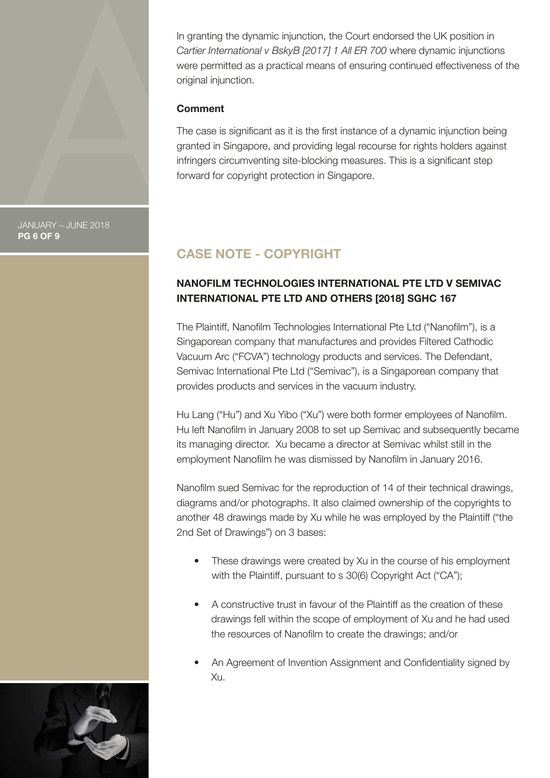In granting the dynamic injunction, the Court endorsed the UK position in *Cartier International v BskyB [2017] 1 All ER 700* where dynamic injunctions were permitted as a practical means of ensuring continued effectiveness of the original injunction.

#### **Comment**

The case is significant as it is the first instance of a dynamic injunction being granted in Singapore, and providing legal recourse for rights holders against infringers circumventing site-blocking measures. This is a significant step forward for copyright protection in Singapore.

JANUARY – JUNE 2018 **PG 6 OF 9**

# **CASE NOTE - COPYRIGHT**

# **NANOFILM TECHNOLOGIES INTERNATIONAL PTE LTD V SEMIVAC INTERNATIONAL PTE LTD AND OTHERS [2018] SGHC 167**

The Plaintiff, Nanofilm Technologies International Pte Ltd ("Nanofilm"), is a Singaporean company that manufactures and provides Filtered Cathodic Vacuum Arc ("FCVA") technology products and services. The Defendant, Semivac International Pte Ltd ("Semivac"), is a Singaporean company that provides products and services in the vacuum industry.

Hu Lang ("Hu") and Xu Yibo ("Xu") were both former employees of Nanofilm. Hu left Nanofilm in January 2008 to set up Semivac and subsequently became its managing director. Xu became a director at Semivac whilst still in the employment Nanofilm he was dismissed by Nanofilm in January 2016.

Nanofilm sued Semivac for the reproduction of 14 of their technical drawings, diagrams and/or photographs. It also claimed ownership of the copyrights to another 48 drawings made by Xu while he was employed by the Plaintiff ("the 2nd Set of Drawings") on 3 bases:

- These drawings were created by Xu in the course of his employment with the Plaintiff, pursuant to s 30(6) Copyright Act ("CA");
- A constructive trust in favour of the Plaintiff as the creation of these drawings fell within the scope of employment of Xu and he had used the resources of Nanofilm to create the drawings; and/or
- An Agreement of Invention Assignment and Confidentiality signed by Xu.

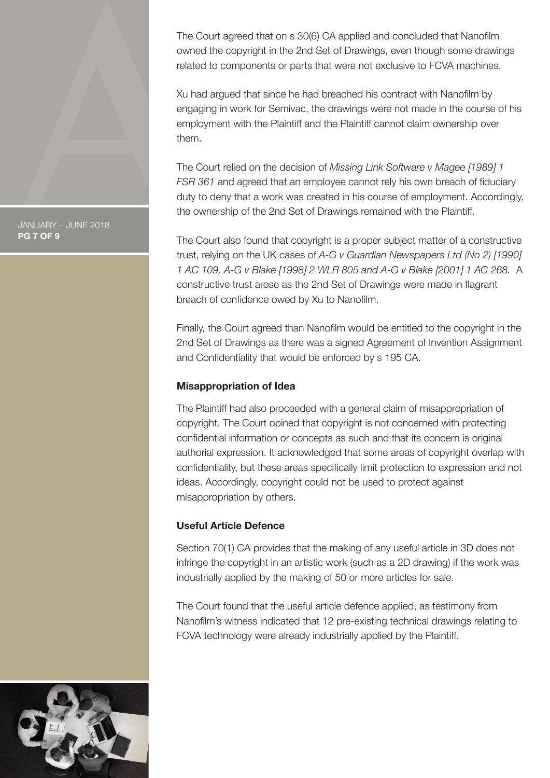The Court agreed that on s 30(6) CA applied and concluded that Nanofilm owned the copyright in the 2nd Set of Drawings, even though some drawings related to components or parts that were not exclusive to FCVA machines.

Xu had argued that since he had breached his contract with Nanofilm by engaging in work for Semivac, the drawings were not made in the course of his employment with the Plaintiff and the Plaintiff cannot claim ownership over them.

The Court relied on the decision of *Missing Link Software v Magee [1989] 1 FSR 361* and agreed that an employee cannot rely his own breach of fiduciary duty to deny that a work was created in his course of employment. Accordingly, the ownership of the 2nd Set of Drawings remained with the Plaintiff.

The Court also found that copyright is a proper subject matter of a constructive trust, relying on the UK cases of *A-G v Guardian Newspapers Ltd (No 2) [1990] 1 AC 109, A-G v Blake [1998] 2 WLR 805 and A-G v Blake [2001] 1 AC 268.* A constructive trust arose as the 2nd Set of Drawings were made in flagrant breach of confidence owed by Xu to Nanofilm.

Finally, the Court agreed than Nanofilm would be entitled to the copyright in the 2nd Set of Drawings as there was a signed Agreement of Invention Assignment and Confidentiality that would be enforced by s 195 CA.

## **Misappropriation of Idea**

The Plaintiff had also proceeded with a general claim of misappropriation of copyright. The Court opined that copyright is not concerned with protecting confidential information or concepts as such and that its concern is original authorial expression. It acknowledged that some areas of copyright overlap with confidentiality, but these areas specifically limit protection to expression and not ideas. Accordingly, copyright could not be used to protect against misappropriation by others.

## **Useful Article Defence**

Section 70(1) CA provides that the making of any useful article in 3D does not infringe the copyright in an artistic work (such as a 2D drawing) if the work was industrially applied by the making of 50 or more articles for sale.

The Court found that the useful article defence applied, as testimony from Nanofilm's witness indicated that 12 pre-existing technical drawings relating to FCVA technology were already industrially applied by the Plaintiff.



JANUARY – JUNE 2018 **PG 7 OF 9**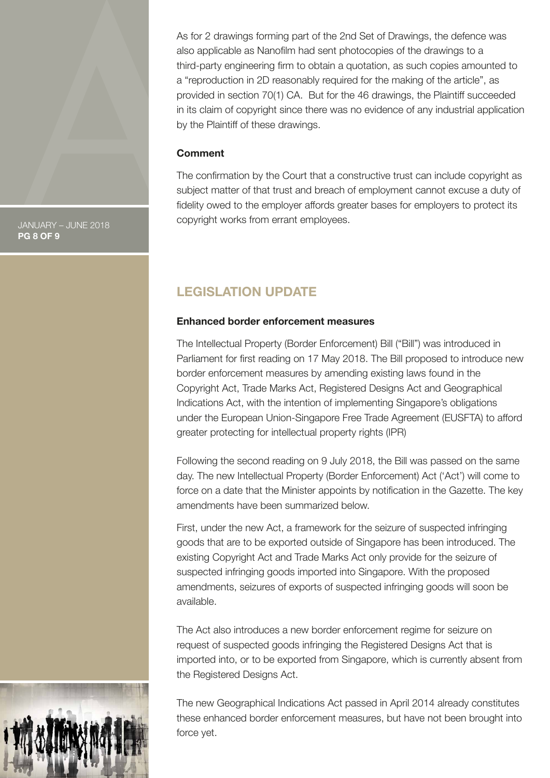As for 2 drawings forming part of the 2nd Set of Drawings, the defence was also applicable as Nanofilm had sent photocopies of the drawings to a third-party engineering firm to obtain a quotation, as such copies amounted to a "reproduction in 2D reasonably required for the making of the article", as provided in section 70(1) CA. But for the 46 drawings, the Plaintiff succeeded in its claim of copyright since there was no evidence of any industrial application by the Plaintiff of these drawings.

#### **Comment**

The confirmation by the Court that a constructive trust can include copyright as subject matter of that trust and breach of employment cannot excuse a duty of fidelity owed to the employer affords greater bases for employers to protect its copyright works from errant employees.

JANUARY – JUNE 2018 **PG 8 OF 9**

# **LEGISLATION UPDATE**

#### **Enhanced border enforcement measures**

The Intellectual Property (Border Enforcement) Bill ("Bill") was introduced in Parliament for first reading on 17 May 2018. The Bill proposed to introduce new border enforcement measures by amending existing laws found in the Copyright Act, Trade Marks Act, Registered Designs Act and Geographical Indications Act, with the intention of implementing Singapore's obligations under the European Union-Singapore Free Trade Agreement (EUSFTA) to afford greater protecting for intellectual property rights (IPR)

Following the second reading on 9 July 2018, the Bill was passed on the same day. The new Intellectual Property (Border Enforcement) Act ('Act') will come to force on a date that the Minister appoints by notification in the Gazette. The key amendments have been summarized below.

First, under the new Act, a framework for the seizure of suspected infringing goods that are to be exported outside of Singapore has been introduced. The existing Copyright Act and Trade Marks Act only provide for the seizure of suspected infringing goods imported into Singapore. With the proposed amendments, seizures of exports of suspected infringing goods will soon be available.

The Act also introduces a new border enforcement regime for seizure on request of suspected goods infringing the Registered Designs Act that is imported into, or to be exported from Singapore, which is currently absent from the Registered Designs Act.

The new Geographical Indications Act passed in April 2014 already constitutes these enhanced border enforcement measures, but have not been brought into force yet.